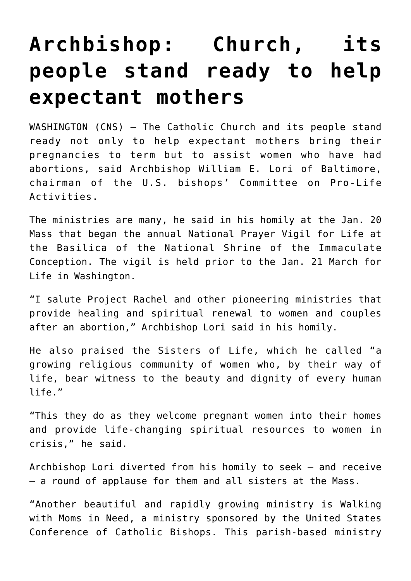## **[Archbishop: Church, its](https://www.osvnews.com/2022/01/21/archbishop-church-its-people-stand-ready-to-help-expectant-mothers/) [people stand ready to help](https://www.osvnews.com/2022/01/21/archbishop-church-its-people-stand-ready-to-help-expectant-mothers/) [expectant mothers](https://www.osvnews.com/2022/01/21/archbishop-church-its-people-stand-ready-to-help-expectant-mothers/)**

WASHINGTON (CNS) — The Catholic Church and its people stand ready not only to help expectant mothers bring their pregnancies to term but to assist women who have had abortions, said Archbishop William E. Lori of Baltimore, chairman of the U.S. bishops' Committee on Pro-Life Activities.

The ministries are many, he said in his homily at the Jan. 20 Mass that began the annual National Prayer Vigil for Life at the Basilica of the National Shrine of the Immaculate Conception. The vigil is held prior to the Jan. 21 March for Life in Washington.

"I salute Project Rachel and other pioneering ministries that provide healing and spiritual renewal to women and couples after an abortion," Archbishop Lori said in his homily.

He also praised the Sisters of Life, which he called "a growing religious community of women who, by their way of life, bear witness to the beauty and dignity of every human life."

"This they do as they welcome pregnant women into their homes and provide life-changing spiritual resources to women in crisis," he said.

Archbishop Lori diverted from his homily to seek — and receive — a round of applause for them and all sisters at the Mass.

"Another beautiful and rapidly growing ministry is Walking with Moms in Need, a ministry sponsored by the United States Conference of Catholic Bishops. This parish-based ministry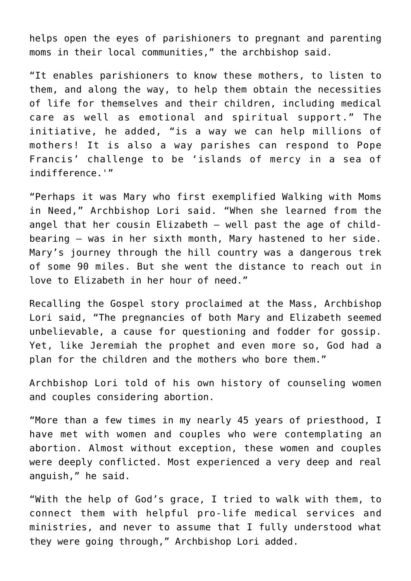helps open the eyes of parishioners to pregnant and parenting moms in their local communities," the archbishop said.

"It enables parishioners to know these mothers, to listen to them, and along the way, to help them obtain the necessities of life for themselves and their children, including medical care as well as emotional and spiritual support." The initiative, he added, "is a way we can help millions of mothers! It is also a way parishes can respond to Pope Francis' challenge to be 'islands of mercy in a sea of indifference.'"

"Perhaps it was Mary who first exemplified Walking with Moms in Need," Archbishop Lori said. "When she learned from the angel that her cousin Elizabeth — well past the age of childbearing — was in her sixth month, Mary hastened to her side. Mary's journey through the hill country was a dangerous trek of some 90 miles. But she went the distance to reach out in love to Elizabeth in her hour of need."

Recalling the Gospel story proclaimed at the Mass, Archbishop Lori said, "The pregnancies of both Mary and Elizabeth seemed unbelievable, a cause for questioning and fodder for gossip. Yet, like Jeremiah the prophet and even more so, God had a plan for the children and the mothers who bore them."

Archbishop Lori told of his own history of counseling women and couples considering abortion.

"More than a few times in my nearly 45 years of priesthood, I have met with women and couples who were contemplating an abortion. Almost without exception, these women and couples were deeply conflicted. Most experienced a very deep and real anguish," he said.

"With the help of God's grace, I tried to walk with them, to connect them with helpful pro-life medical services and ministries, and never to assume that I fully understood what they were going through," Archbishop Lori added.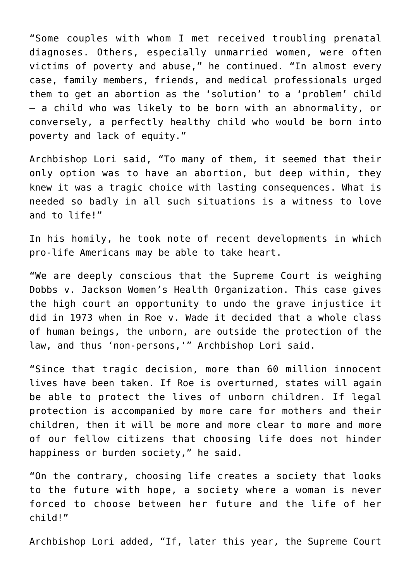"Some couples with whom I met received troubling prenatal diagnoses. Others, especially unmarried women, were often victims of poverty and abuse," he continued. "In almost every case, family members, friends, and medical professionals urged them to get an abortion as the 'solution' to a 'problem' child — a child who was likely to be born with an abnormality, or conversely, a perfectly healthy child who would be born into poverty and lack of equity."

Archbishop Lori said, "To many of them, it seemed that their only option was to have an abortion, but deep within, they knew it was a tragic choice with lasting consequences. What is needed so badly in all such situations is a witness to love and to life!"

In his homily, he took note of recent developments in which pro-life Americans may be able to take heart.

"We are deeply conscious that the Supreme Court is weighing Dobbs v. Jackson Women's Health Organization. This case gives the high court an opportunity to undo the grave injustice it did in 1973 when in Roe v. Wade it decided that a whole class of human beings, the unborn, are outside the protection of the law, and thus 'non-persons,'" Archbishop Lori said.

"Since that tragic decision, more than 60 million innocent lives have been taken. If Roe is overturned, states will again be able to protect the lives of unborn children. If legal protection is accompanied by more care for mothers and their children, then it will be more and more clear to more and more of our fellow citizens that choosing life does not hinder happiness or burden society," he said.

"On the contrary, choosing life creates a society that looks to the future with hope, a society where a woman is never forced to choose between her future and the life of her child!"

Archbishop Lori added, "If, later this year, the Supreme Court